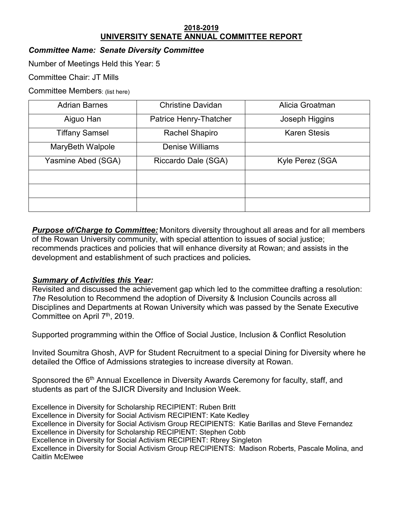#### **2018-2019 UNIVERSITY SENATE ANNUAL COMMITTEE REPORT**

# *Committee Name: Senate Diversity Committee*

Number of Meetings Held this Year: 5

Committee Chair: JT Mills

Committee Members: (list here)

| <b>Adrian Barnes</b>  | <b>Christine Davidan</b> | Alicia Groatman     |
|-----------------------|--------------------------|---------------------|
| Aiguo Han             | Patrice Henry-Thatcher   | Joseph Higgins      |
| <b>Tiffany Samsel</b> | <b>Rachel Shapiro</b>    | <b>Karen Stesis</b> |
| MaryBeth Walpole      | <b>Denise Williams</b>   |                     |
| Yasmine Abed (SGA)    | Riccardo Dale (SGA)      | Kyle Perez (SGA     |
|                       |                          |                     |
|                       |                          |                     |
|                       |                          |                     |

*Purpose of/Charge to Committee:* Monitors diversity throughout all areas and for all members of the Rowan University community, with special attention to issues of social justice; recommends practices and policies that will enhance diversity at Rowan; and assists in the development and establishment of such practices and policies**.** 

## *Summary of Activities this Year:*

Revisited and discussed the achievement gap which led to the committee drafting a resolution: *The* Resolution to Recommend the adoption of Diversity & Inclusion Councils across all Disciplines and Departments at Rowan University which was passed by the Senate Executive Committee on April 7th, 2019.

Supported programming within the Office of Social Justice, Inclusion & Conflict Resolution

Invited Soumitra Ghosh, AVP for Student Recruitment to a special Dining for Diversity where he detailed the Office of Admissions strategies to increase diversity at Rowan.

Sponsored the 6<sup>th</sup> Annual Excellence in Diversity Awards Ceremony for faculty, staff, and students as part of the SJICR Diversity and Inclusion Week.

Excellence in Diversity for Scholarship RECIPIENT: Ruben Britt Excellence in Diversity for Social Activism RECIPIENT: Kate Kedley Excellence in Diversity for Social Activism Group RECIPIENTS: Katie Barillas and Steve Fernandez Excellence in Diversity for Scholarship RECIPIENT: Stephen Cobb Excellence in Diversity for Social Activism RECIPIENT: Rbrey Singleton Excellence in Diversity for Social Activism Group RECIPIENTS: Madison Roberts, Pascale Molina, and Caitlin McElwee